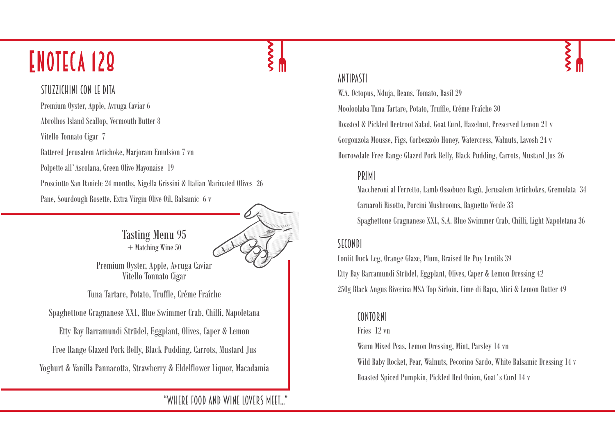## **ENOTECA 129**

### STU77ICHINI CON LE DITA

Premium Oyster, Apple, Avruga Caviar 6 Abrolhos Island Scallop, Vermouth Butter 8 Vitello Tonnato Cigar 7 Battered Jerusalem Artichoke, Marjoram Emulsion 7 vn Polpette all`Ascolana, Green Olive Mayonaise 19 Prosciutto San Daniele 24 months, Nigella Grissini & Italian Marinated Olives 26 Pane, Sourdough Rosette, Extra Virgin Olive Oil, Balsamic 6 v

> Tasting Menu 95 + Matching Wine 50

Premium Oyster, Apple, Avruga Caviar Vitello Tonnato Cigar

Tuna Tartare, Potato, Truffle, Créme Fraîche

Spaghettone Gragnanese XXL, Blue Swimmer Crab, Chilli, Napoletana

Etty Bay Barramundi Strüdel, Eggplant, Olives, Caper & Lemon

Free Range Glazed Pork Belly, Black Pudding, Carrots, Mustard Jus

Yoghurt & Vanilla Pannacotta, Strawberry & Eldelflower Liquor, Macadamia

"Where food and wine lovers meet..."

### antipasti

W.A. Octopus, Nduja, Beans, Tomato, Basil 29 Mooloolaba Tuna Tartare, Potato, Truffle, Créme Fraîche 30 Roasted & Pickled Beetroot Salad, Goat Curd, Hazelnut, Preserved Lemon 21 v Gorgonzola Mousse, Figs, Corbezzolo Honey, Watercress, Walnuts, Lavosh 24 v Borrowdale Free Range Glazed Pork Belly, Black Pudding, Carrots, Mustard Jus 26

### primi

Maccheroni al Ferretto, Lamb Ossobuco Ragú, Jerusalem Artichokes, Gremolata 34 Carnaroli Risotto, Porcini Mushrooms, Bagnetto Verde 33

Spaghettone Gragnanese XXL, S.A. Blue Swimmer Crab, Chilli, Light Napoletana 36

### SECONDI

Confit Duck Leg, Orange Glaze, Plum, Braised De Puy Lentils 39 Etty Bay Barramundi Strüdel, Eggplant, Olives, Caper & Lemon Dressing 42 250g Black Angus Riverina MSA Top Sirloin, Cime di Rapa, Alici & Lemon Butter 49

### contorni

### Fries 12 vn

Warm Mixed Peas, Lemon Dressing, Mint, Parsley 14 vn

Wild Baby Rocket, Pear, Walnuts, Pecorino Sardo, White Balsamic Dressing 14 V Roasted Spiced Pumpkin, Pickled Red Onion, Goat`s Curd 14 v